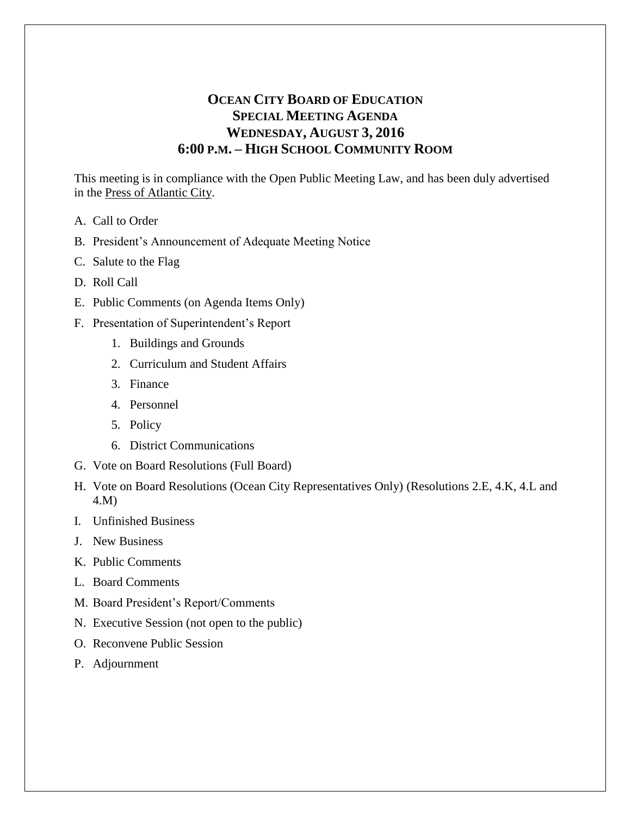# **OCEAN CITY BOARD OF EDUCATION SPECIAL MEETING AGENDA WEDNESDAY, AUGUST 3, 2016 6:00 P.M. – HIGH SCHOOL COMMUNITY ROOM**

This meeting is in compliance with the Open Public Meeting Law, and has been duly advertised in the Press of Atlantic City.

- A. Call to Order
- B. President's Announcement of Adequate Meeting Notice
- C. Salute to the Flag
- D. Roll Call
- E. Public Comments (on Agenda Items Only)
- F. Presentation of Superintendent's Report
	- 1. Buildings and Grounds
	- 2. Curriculum and Student Affairs
	- 3. Finance
	- 4. Personnel
	- 5. Policy
	- 6. District Communications
- G. Vote on Board Resolutions (Full Board)
- H. Vote on Board Resolutions (Ocean City Representatives Only) (Resolutions 2.E, 4.K, 4.L and 4.M)
- I. Unfinished Business
- J. New Business
- K. Public Comments
- L. Board Comments
- M. Board President's Report/Comments
- N. Executive Session (not open to the public)
- O. Reconvene Public Session
- P. Adjournment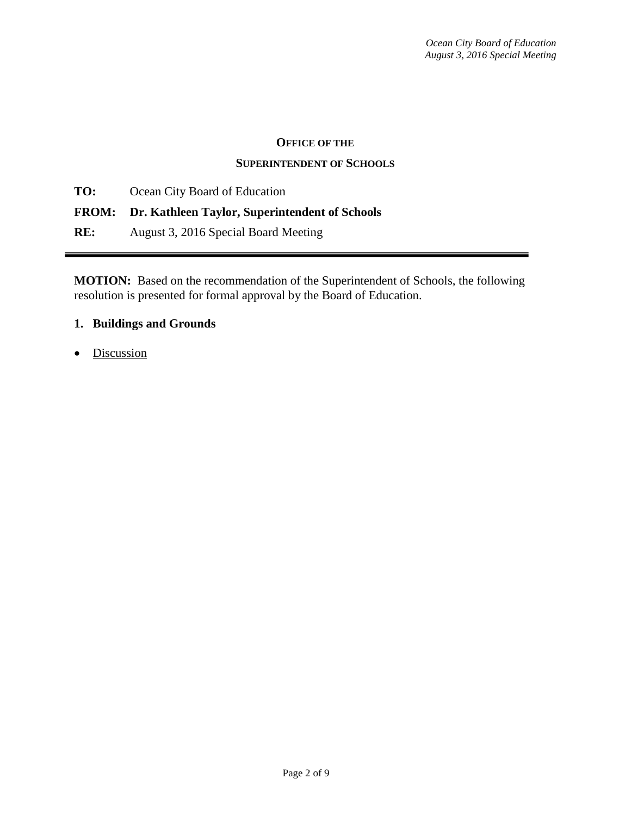#### **OFFICE OF THE**

#### **SUPERINTENDENT OF SCHOOLS**

**TO:** Ocean City Board of Education

### **FROM: Dr. Kathleen Taylor, Superintendent of Schools**

**RE:** August 3, 2016 Special Board Meeting

**MOTION:** Based on the recommendation of the Superintendent of Schools, the following resolution is presented for formal approval by the Board of Education.

### **1. Buildings and Grounds**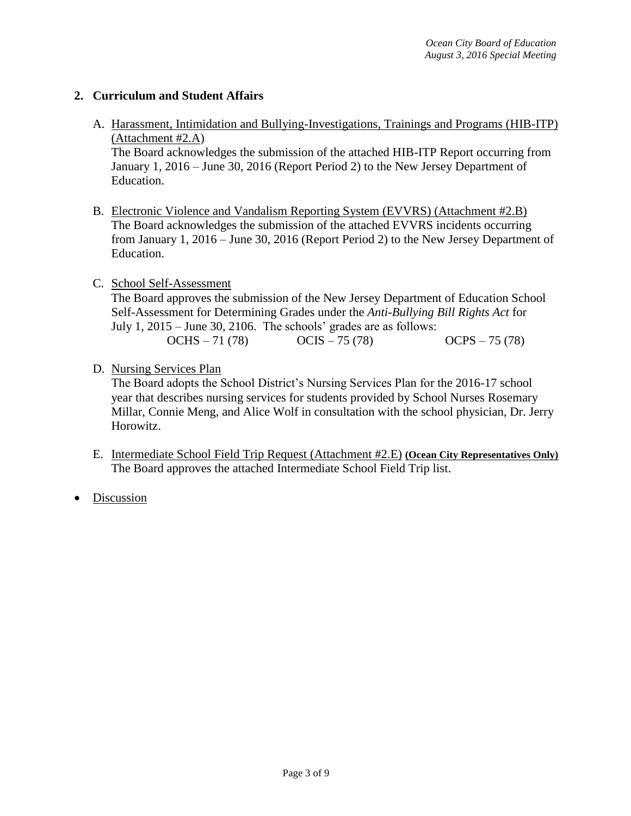### **2. Curriculum and Student Affairs**

A. Harassment, Intimidation and Bullying-Investigations, Trainings and Programs (HIB-ITP) (Attachment #2.A) The Board acknowledges the submission of the attached HIB-ITP Report occurring from

January 1, 2016 – June 30, 2016 (Report Period 2) to the New Jersey Department of Education.

B. Electronic Violence and Vandalism Reporting System (EVVRS) (Attachment #2.B) The Board acknowledges the submission of the attached EVVRS incidents occurring from January 1, 2016 – June 30, 2016 (Report Period 2) to the New Jersey Department of Education.

#### C. School Self-Assessment

The Board approves the submission of the New Jersey Department of Education School Self-Assessment for Determining Grades under the *Anti-Bullying Bill Rights Act* for July 1, 2015 – June 30, 2106. The schools' grades are as follows:

| $OCHS - 71(78)$ | $OCIS - 75(78)$ | $OCPS - 75(78)$ |
|-----------------|-----------------|-----------------|
|-----------------|-----------------|-----------------|

#### D. Nursing Services Plan

The Board adopts the School District's Nursing Services Plan for the 2016-17 school year that describes nursing services for students provided by School Nurses Rosemary Millar, Connie Meng, and Alice Wolf in consultation with the school physician, Dr. Jerry Horowitz.

- E. Intermediate School Field Trip Request (Attachment #2.E) **(Ocean City Representatives Only)** The Board approves the attached Intermediate School Field Trip list.
- Discussion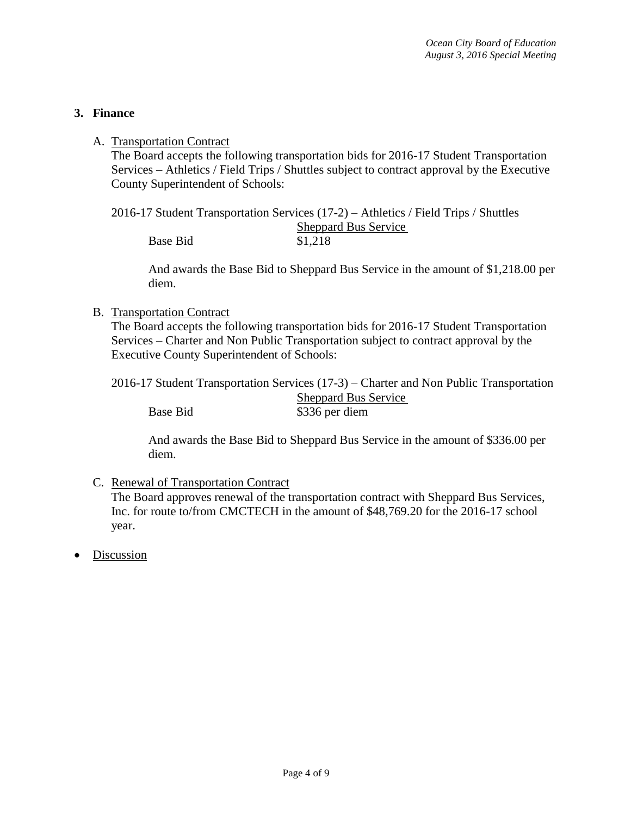### **3. Finance**

#### A. Transportation Contract

The Board accepts the following transportation bids for 2016-17 Student Transportation Services – Athletics / Field Trips / Shuttles subject to contract approval by the Executive County Superintendent of Schools:

2016-17 Student Transportation Services (17-2) – Athletics / Field Trips / Shuttles Sheppard Bus Service **Base Bid** \$1,218

And awards the Base Bid to Sheppard Bus Service in the amount of \$1,218.00 per diem.

#### B. Transportation Contract

The Board accepts the following transportation bids for 2016-17 Student Transportation Services – Charter and Non Public Transportation subject to contract approval by the Executive County Superintendent of Schools:

2016-17 Student Transportation Services (17-3) – Charter and Non Public Transportation Sheppard Bus Service Base Bid \$336 per diem

And awards the Base Bid to Sheppard Bus Service in the amount of \$336.00 per diem.

### C. Renewal of Transportation Contract

The Board approves renewal of the transportation contract with Sheppard Bus Services, Inc. for route to/from CMCTECH in the amount of \$48,769.20 for the 2016-17 school year.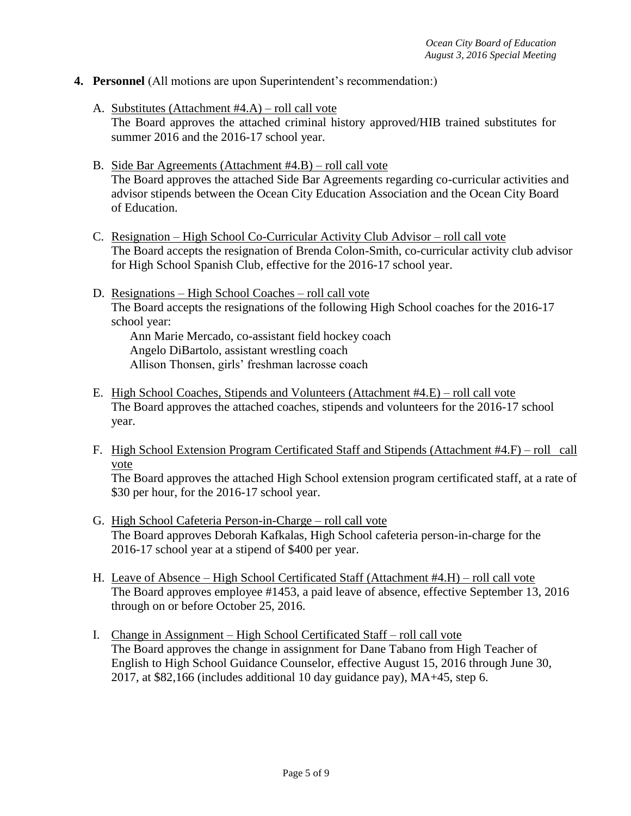- **4. Personnel** (All motions are upon Superintendent's recommendation:)
	- A. Substitutes (Attachment #4.A) roll call vote The Board approves the attached criminal history approved/HIB trained substitutes for summer 2016 and the 2016-17 school year.
	- B. Side Bar Agreements (Attachment #4.B) roll call vote The Board approves the attached Side Bar Agreements regarding co-curricular activities and advisor stipends between the Ocean City Education Association and the Ocean City Board of Education.
	- C. Resignation High School Co-Curricular Activity Club Advisor roll call vote The Board accepts the resignation of Brenda Colon-Smith, co-curricular activity club advisor for High School Spanish Club, effective for the 2016-17 school year.
	- D. Resignations High School Coaches roll call vote The Board accepts the resignations of the following High School coaches for the 2016-17 school year:

Ann Marie Mercado, co-assistant field hockey coach Angelo DiBartolo, assistant wrestling coach Allison Thonsen, girls' freshman lacrosse coach

- E. High School Coaches, Stipends and Volunteers (Attachment #4.E) roll call vote The Board approves the attached coaches, stipends and volunteers for the 2016-17 school year.
- F. High School Extension Program Certificated Staff and Stipends (Attachment #4.F) roll call vote

The Board approves the attached High School extension program certificated staff, at a rate of \$30 per hour, for the 2016-17 school year.

- G. High School Cafeteria Person-in-Charge roll call vote The Board approves Deborah Kafkalas, High School cafeteria person-in-charge for the 2016-17 school year at a stipend of \$400 per year.
- H. Leave of Absence High School Certificated Staff (Attachment #4.H) roll call vote The Board approves employee #1453, a paid leave of absence, effective September 13, 2016 through on or before October 25, 2016.
- I. Change in Assignment High School Certificated Staff roll call vote The Board approves the change in assignment for Dane Tabano from High Teacher of English to High School Guidance Counselor, effective August 15, 2016 through June 30, 2017, at \$82,166 (includes additional 10 day guidance pay), MA+45, step 6.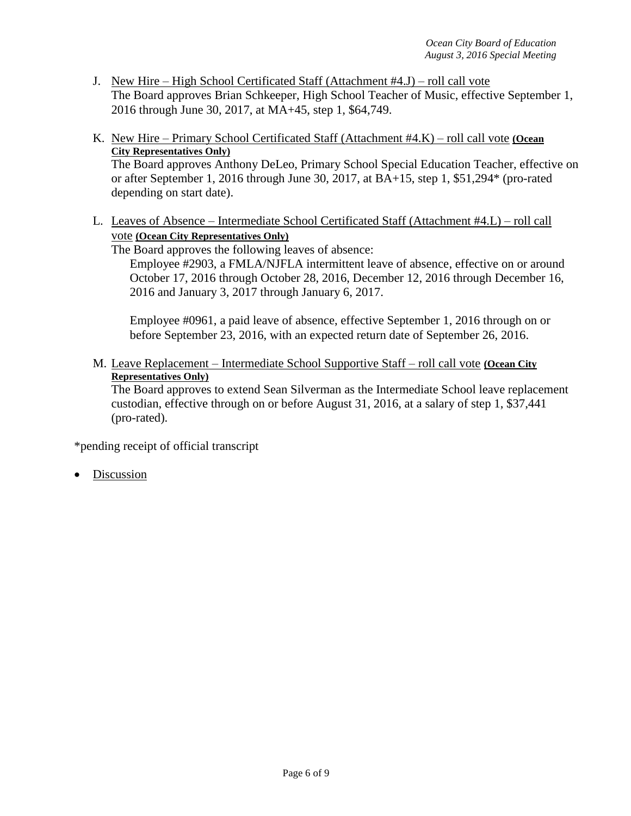- J. New Hire High School Certificated Staff (Attachment #4.J) roll call vote The Board approves Brian Schkeeper, High School Teacher of Music, effective September 1, 2016 through June 30, 2017, at MA+45, step 1, \$64,749.
- K. New Hire Primary School Certificated Staff (Attachment #4.K) roll call vote **(Ocean City Representatives Only)**

The Board approves Anthony DeLeo, Primary School Special Education Teacher, effective on or after September 1, 2016 through June 30, 2017, at BA+15, step 1, \$51,294\* (pro-rated depending on start date).

L. Leaves of Absence – Intermediate School Certificated Staff (Attachment #4.L) – roll call vote **(Ocean City Representatives Only)**

The Board approves the following leaves of absence:

Employee #2903, a FMLA/NJFLA intermittent leave of absence, effective on or around October 17, 2016 through October 28, 2016, December 12, 2016 through December 16, 2016 and January 3, 2017 through January 6, 2017.

Employee #0961, a paid leave of absence, effective September 1, 2016 through on or before September 23, 2016, with an expected return date of September 26, 2016.

M. Leave Replacement – Intermediate School Supportive Staff – roll call vote **(Ocean City Representatives Only)**

The Board approves to extend Sean Silverman as the Intermediate School leave replacement custodian, effective through on or before August 31, 2016, at a salary of step 1, \$37,441 (pro-rated).

\*pending receipt of official transcript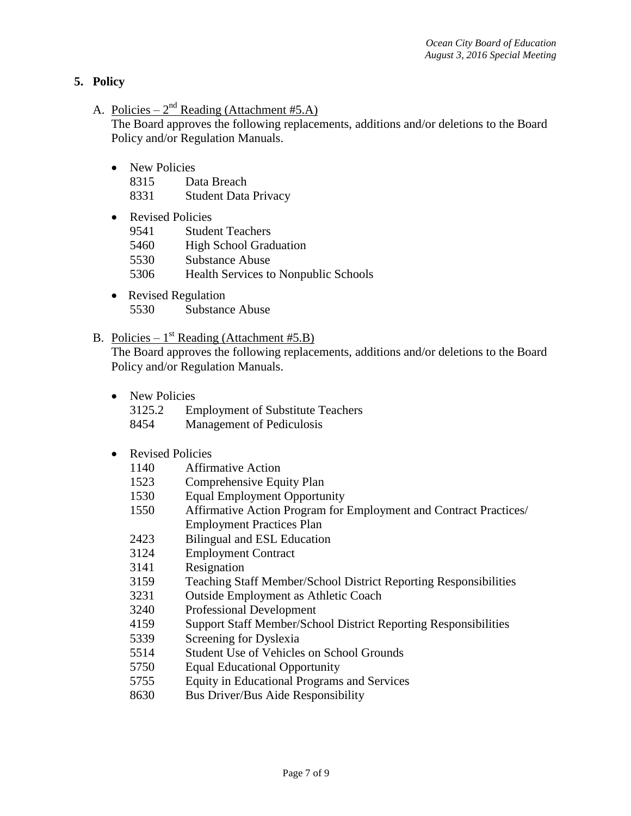### **5. Policy**

- A. Policies  $2<sup>nd</sup>$  Reading (Attachment #5.A) The Board approves the following replacements, additions and/or deletions to the Board Policy and/or Regulation Manuals.
	- New Policies
		- 8315 Data Breach
		- 8331 Student Data Privacy
	- Revised Policies 9541 Student Teachers
		- 5460 High School Graduation
		- 5530 Substance Abuse
		- 5306 Health Services to Nonpublic Schools
	- Revised Regulation 5530 Substance Abuse
- B. Policies  $1^{st}$  Reading (Attachment #5.B)

The Board approves the following replacements, additions and/or deletions to the Board Policy and/or Regulation Manuals.

- New Policies
	- 3125.2 Employment of Substitute Teachers
	- 8454 Management of Pediculosis
- Revised Policies
	- 1140 Affirmative Action
	- 1523 Comprehensive Equity Plan
	- 1530 Equal Employment Opportunity
	- 1550 Affirmative Action Program for Employment and Contract Practices/ Employment Practices Plan
	- 2423 Bilingual and ESL Education
	- 3124 Employment Contract
	- 3141 Resignation
	- 3159 Teaching Staff Member/School District Reporting Responsibilities
	- 3231 Outside Employment as Athletic Coach
	- 3240 Professional Development
	- 4159 Support Staff Member/School District Reporting Responsibilities
	- 5339 Screening for Dyslexia
	- 5514 Student Use of Vehicles on School Grounds
	- 5750 Equal Educational Opportunity
	- 5755 Equity in Educational Programs and Services
	- 8630 Bus Driver/Bus Aide Responsibility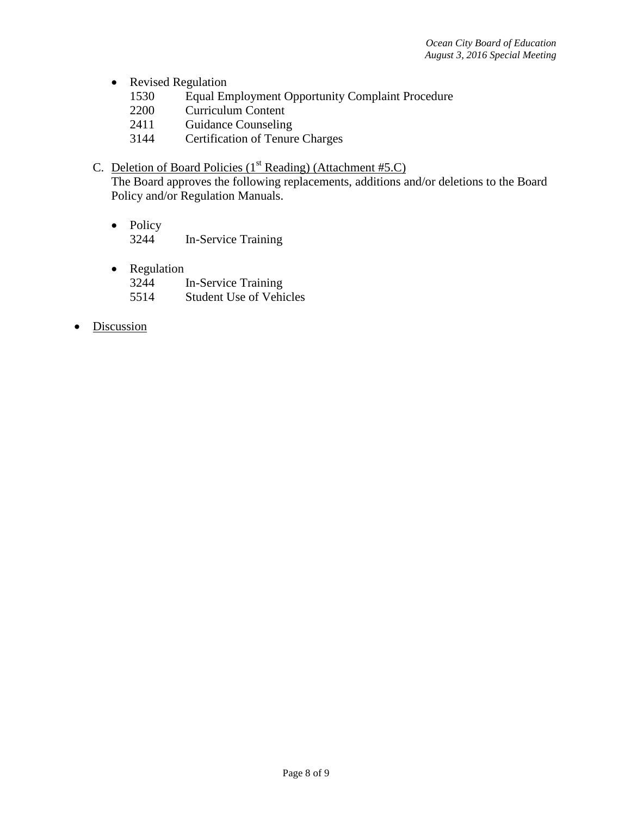- Revised Regulation
	- 1530 Equal Employment Opportunity Complaint Procedure
	- 2200 Curriculum Content
	- 2411 Guidance Counseling
	- 3144 Certification of Tenure Charges
- C. Deletion of Board Policies  $(1<sup>st</sup> Reading)$  (Attachment #5.C)

The Board approves the following replacements, additions and/or deletions to the Board Policy and/or Regulation Manuals.

- Policy 3244 In-Service Training
- Regulation 3244 In-Service Training 5514 Student Use of Vehicles
- Discussion